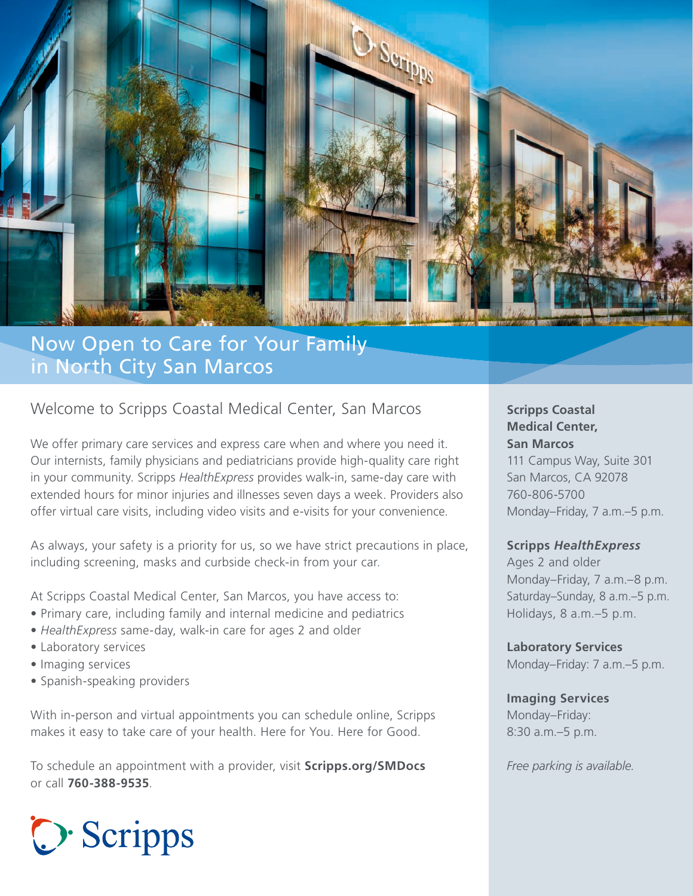

# Now Open to Care for Your Family in North City San Marcos

## Welcome to Scripps Coastal Medical Center, San Marcos

We offer primary care services and express care when and where you need it. Our internists, family physicians and pediatricians provide high-quality care right in your community. Scripps *HealthExpress* provides walk-in, same-day care with extended hours for minor injuries and illnesses seven days a week. Providers also offer virtual care visits, including video visits and e-visits for your convenience.

As always, your safety is a priority for us, so we have strict precautions in place, including screening, masks and curbside check-in from your car.

At Scripps Coastal Medical Center, San Marcos, you have access to:

- Primary care, including family and internal medicine and pediatrics
- *HealthExpress* same-day, walk-in care for ages 2 and older
- Laboratory services
- Imaging services
- Spanish-speaking providers

With in-person and virtual appointments you can schedule online, Scripps makes it easy to take care of your health. Here for You. Here for Good.

To schedule an appointment with a provider, visit **Scripps.org/SMDocs**  or call **760-388-9535**.



**Scripps Coastal Medical Center, San Marcos**

111 Campus Way, Suite 301 San Marcos, CA 92078 760-806-5700 Monday–Friday, 7 a.m.–5 p.m.

#### **Scripps** *HealthExpress*

Ages 2 and older Monday–Friday, 7 a.m.–8 p.m. Saturday–Sunday, 8 a.m.–5 p.m. Holidays, 8 a.m.–5 p.m.

**Laboratory Services** Monday–Friday: 7 a.m.–5 p.m.

#### **Imaging Services**

Monday–Friday: 8:30 a.m.–5 p.m.

*Free parking is available.*